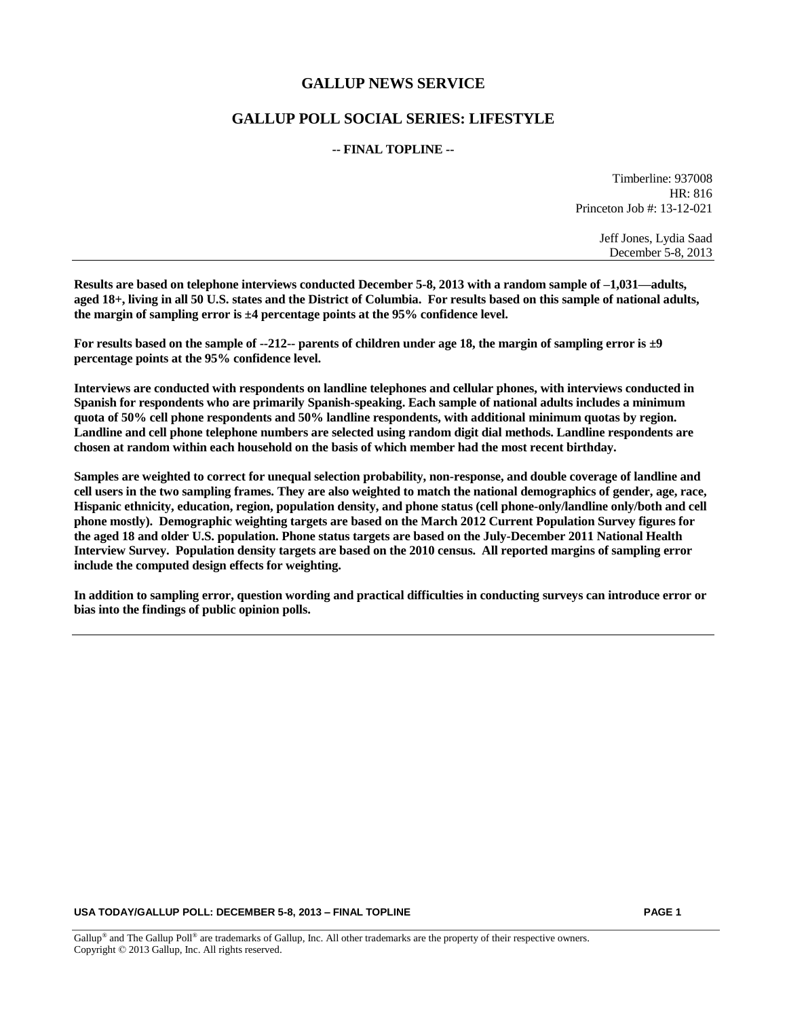## **GALLUP NEWS SERVICE**

# **GALLUP POLL SOCIAL SERIES: LIFESTYLE**

#### **-- FINAL TOPLINE --**

Timberline: 937008 HR: 816 Princeton Job #: 13-12-021

> Jeff Jones, Lydia Saad December 5-8, 2013

**Results are based on telephone interviews conducted December 5-8, 2013 with a random sample of –1,031—adults, aged 18+, living in all 50 U.S. states and the District of Columbia. For results based on this sample of national adults, the margin of sampling error is ±4 percentage points at the 95% confidence level.** 

**For results based on the sample of --212-- parents of children under age 18, the margin of sampling error is ±9 percentage points at the 95% confidence level.** 

**Interviews are conducted with respondents on landline telephones and cellular phones, with interviews conducted in Spanish for respondents who are primarily Spanish-speaking. Each sample of national adults includes a minimum quota of 50% cell phone respondents and 50% landline respondents, with additional minimum quotas by region. Landline and cell phone telephone numbers are selected using random digit dial methods. Landline respondents are chosen at random within each household on the basis of which member had the most recent birthday.**

**Samples are weighted to correct for unequal selection probability, non-response, and double coverage of landline and cell users in the two sampling frames. They are also weighted to match the national demographics of gender, age, race, Hispanic ethnicity, education, region, population density, and phone status (cell phone-only/landline only/both and cell phone mostly). Demographic weighting targets are based on the March 2012 Current Population Survey figures for the aged 18 and older U.S. population. Phone status targets are based on the July-December 2011 National Health Interview Survey. Population density targets are based on the 2010 census. All reported margins of sampling error include the computed design effects for weighting.** 

**In addition to sampling error, question wording and practical difficulties in conducting surveys can introduce error or bias into the findings of public opinion polls.**

#### **USA TODAY/GALLUP POLL: DECEMBER 5-8, 2013 – FINAL TOPLINE PAGE 1**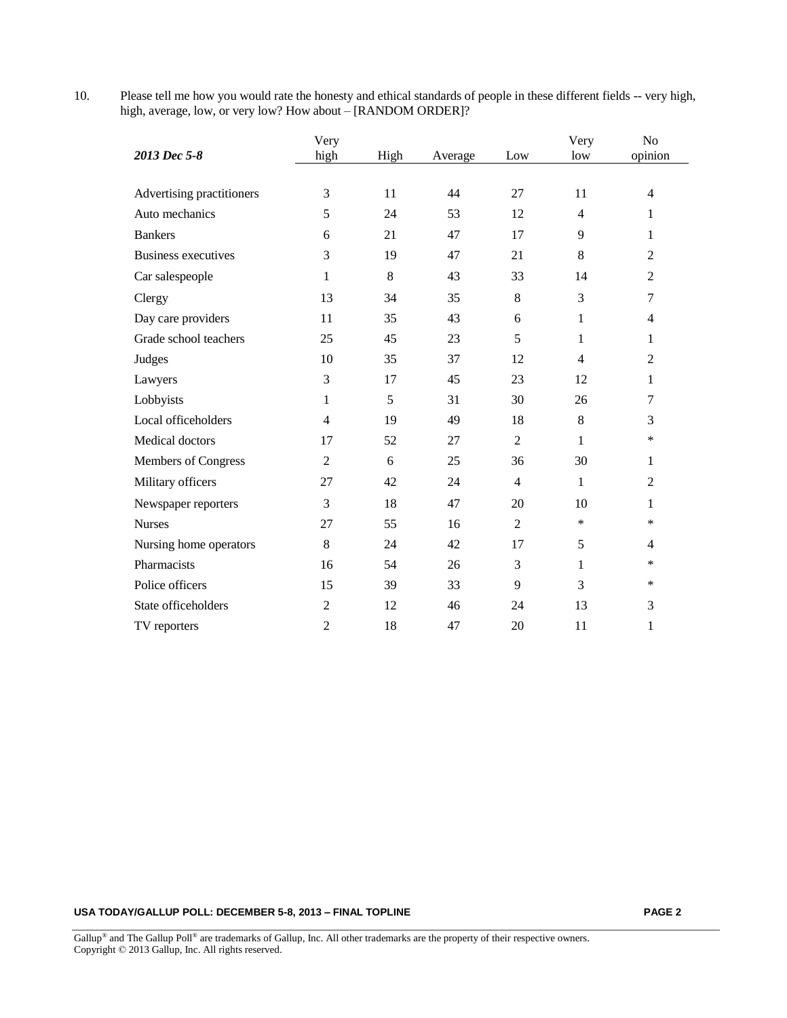10. Please tell me how you would rate the honesty and ethical standards of people in these different fields -- very high, high, average, low, or very low? How about – [RANDOM ORDER]?

|                            | Very           |      |         |                | Very           | N <sub>o</sub> |
|----------------------------|----------------|------|---------|----------------|----------------|----------------|
| 2013 Dec 5-8               | high           | High | Average | Low            | low            | opinion        |
|                            |                |      |         |                |                |                |
| Advertising practitioners  | 3              | 11   | 44      | 27             | 11             | $\overline{4}$ |
| Auto mechanics             | 5              | 24   | 53      | 12             | $\overline{4}$ | $\mathbf{1}$   |
| <b>Bankers</b>             | 6              | 21   | 47      | 17             | 9              | 1              |
| <b>Business executives</b> | 3              | 19   | 47      | 21             | 8              | $\overline{2}$ |
| Car salespeople            | $\mathbf{1}$   | 8    | 43      | 33             | 14             | 2              |
| Clergy                     | 13             | 34   | 35      | 8              | 3              | $\tau$         |
| Day care providers         | 11             | 35   | 43      | 6              | 1              | $\overline{4}$ |
| Grade school teachers      | 25             | 45   | 23      | 5              | 1              | 1              |
| Judges                     | 10             | 35   | 37      | 12             | $\overline{4}$ | $\overline{2}$ |
| Lawyers                    | 3              | 17   | 45      | 23             | 12             | $\mathbf{1}$   |
| Lobbyists                  | $\mathbf{1}$   | 5    | 31      | 30             | 26             | $\tau$         |
| Local officeholders        | $\overline{4}$ | 19   | 49      | 18             | 8              | 3              |
| Medical doctors            | 17             | 52   | 27      | $\overline{2}$ | 1              | $\ast$         |
| Members of Congress        | $\overline{2}$ | 6    | 25      | 36             | 30             | 1              |
| Military officers          | 27             | 42   | 24      | $\overline{4}$ | $\mathbf{1}$   | $\overline{2}$ |
| Newspaper reporters        | 3              | 18   | 47      | 20             | 10             | 1              |
| <b>Nurses</b>              | 27             | 55   | 16      | $\overline{2}$ | $\ast$         | $\ast$         |
| Nursing home operators     | 8              | 24   | 42      | 17             | 5              | $\overline{4}$ |
| Pharmacists                | 16             | 54   | 26      | 3              | 1              | *              |
| Police officers            | 15             | 39   | 33      | 9              | 3              | ∗              |
| State officeholders        | $\overline{2}$ | 12   | 46      | 24             | 13             | 3              |
| TV reporters               | $\overline{2}$ | 18   | 47      | 20             | 11             | 1              |

### **USA TODAY/GALLUP POLL: DECEMBER 5-8, 2013 – FINAL TOPLINE PAGE 2**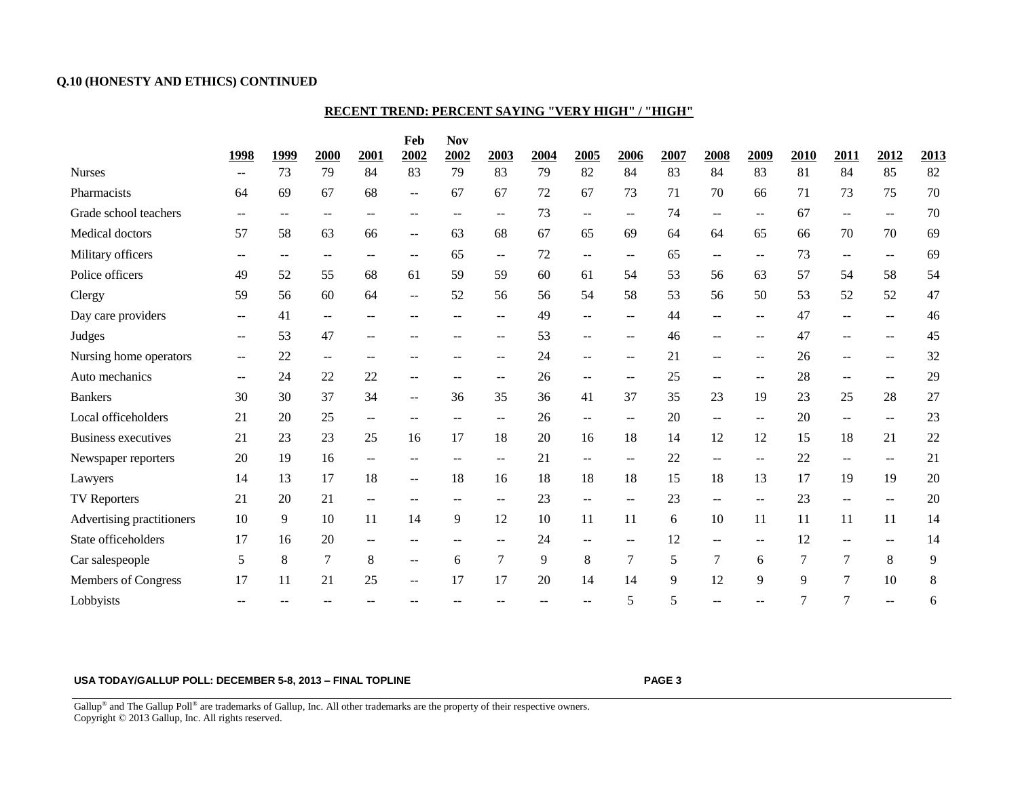### **Q.10 (HONESTY AND ETHICS) CONTINUED**

### **RECENT TREND: PERCENT SAYING "VERY HIGH" / "HIGH"**

|                            |                          |                          |        |                          | Feb                      | <b>Nov</b> |                          |      |                                               |                          |      |                          |      |      |                          |                          |       |
|----------------------------|--------------------------|--------------------------|--------|--------------------------|--------------------------|------------|--------------------------|------|-----------------------------------------------|--------------------------|------|--------------------------|------|------|--------------------------|--------------------------|-------|
|                            | 1998                     | 1999                     | 2000   | 2001                     | 2002                     | 2002       | 2003                     | 2004 | 2005                                          | 2006                     | 2007 | 2008                     | 2009 | 2010 | 2011                     | 2012                     | 2013  |
| <b>Nurses</b>              | $- -$                    | 73                       | 79     | 84                       | 83                       | 79         | 83                       | 79   | 82                                            | 84                       | 83   | 84                       | 83   | 81   | 84                       | 85                       | 82    |
| Pharmacists                | 64                       | 69                       | 67     | 68                       | --                       | 67         | 67                       | 72   | 67                                            | 73                       | 71   | 70                       | 66   | 71   | 73                       | 75                       | 70    |
| Grade school teachers      | $-$                      | $--$                     | $- -$  | $-$                      | $-$                      | $-$        | $\qquad \qquad -$        | 73   | $\overline{\phantom{m}}$                      | $--$                     | 74   | $-$                      | $-$  | 67   | $- -$                    | $\overline{\phantom{a}}$ | 70    |
| Medical doctors            | 57                       | 58                       | 63     | 66                       | $\overline{\phantom{m}}$ | 63         | 68                       | 67   | 65                                            | 69                       | 64   | 64                       | 65   | 66   | 70                       | 70                       | 69    |
| Military officers          | $--$                     | $\overline{\phantom{m}}$ | $- -$  | $- -$                    | $-$                      | 65         | $\mathbf{u}$             | 72   | $- -$                                         | $\qquad \qquad -$        | 65   | $\overline{\phantom{a}}$ | $-$  | 73   | $- -$                    | $- -$                    | 69    |
| Police officers            | 49                       | 52                       | 55     | 68                       | 61                       | 59         | 59                       | 60   | 61                                            | 54                       | 53   | 56                       | 63   | 57   | 54                       | 58                       | 54    |
| Clergy                     | 59                       | 56                       | 60     | 64                       | --                       | 52         | 56                       | 56   | 54                                            | 58                       | 53   | 56                       | 50   | 53   | 52                       | 52                       | 47    |
| Day care providers         | $\overline{\phantom{a}}$ | 41                       | $-1$   | $-$                      |                          | $-$        | $- -$                    | 49   | $\overline{\phantom{a}}$                      | $- -$                    | 44   | $-$                      | $-$  | 47   | $\overline{\phantom{a}}$ | $\overline{\phantom{a}}$ | 46    |
| Judges                     | $-$                      | 53                       | 47     | --                       |                          |            | --                       | 53   | $-$                                           | $- -$                    | 46   |                          |      | 47   | $-$                      | $-$                      | 45    |
| Nursing home operators     | $- -$                    | 22                       | --     | $-$                      |                          |            | $-$                      | 24   | --                                            | $\overline{\phantom{a}}$ | 21   | $-$                      | $-$  | 26   | $\overline{\phantom{a}}$ | $\overline{\phantom{a}}$ | 32    |
| Auto mechanics             | $--$                     | 24                       | 22     | 22                       | $-$                      | $- -$      | $\qquad \qquad -$        | 26   | $--$                                          | $\overline{\phantom{m}}$ | 25   | $-$                      | $-$  | 28   | $--$                     | $\overline{\phantom{m}}$ | 29    |
| <b>Bankers</b>             | 30                       | 30                       | 37     | 34                       | $-$                      | 36         | 35                       | 36   | 41                                            | 37                       | 35   | 23                       | 19   | 23   | 25                       | 28                       | 27    |
| Local officeholders        | 21                       | 20                       | 25     | $- -$                    | $-$                      | $- -$      | $\qquad \qquad -$        | 26   | $\mathord{\hspace{1pt}\text{--}\hspace{1pt}}$ | $--$                     | 20   | $\overline{\phantom{a}}$ | $-$  | 20   | $- -$                    | $- -$                    | 23    |
| <b>Business executives</b> | 21                       | 23                       | 23     | 25                       | 16                       | 17         | 18                       | 20   | 16                                            | 18                       | 14   | 12                       | 12   | 15   | 18                       | 21                       | 22    |
| Newspaper reporters        | 20                       | 19                       | 16     | $\overline{\phantom{a}}$ |                          | $-$        | $-$                      | 21   | --                                            | $--$                     | 22   | $\overline{\phantom{a}}$ | $-$  | 22   | $-$                      | $- -$                    | 21    |
| Lawyers                    | 14                       | 13                       | 17     | 18                       | $\overline{\phantom{m}}$ | 18         | 16                       | 18   | 18                                            | 18                       | 15   | 18                       | 13   | 17   | 19                       | 19                       | 20    |
| TV Reporters               | 21                       | 20                       | 21     | $- -$                    |                          |            |                          | 23   | $\overline{\phantom{m}}$                      | --                       | 23   |                          |      | 23   | $\overline{\phantom{m}}$ | --                       | 20    |
| Advertising practitioners  | 10                       | 9                        | 10     | 11                       | 14                       | 9          | 12                       | 10   | 11                                            | 11                       | 6    | 10                       | 11   | 11   | 11                       | 11                       | 14    |
| State officeholders        | 17                       | 16                       | 20     | $\overline{\phantom{a}}$ |                          |            | $\overline{\phantom{a}}$ | 24   | $\overline{\phantom{a}}$                      | $\overline{\phantom{a}}$ | 12   |                          | $-$  | 12   | $\overline{\phantom{a}}$ | $\overline{\phantom{a}}$ | 14    |
| Car salespeople            | 5                        | $\,8\,$                  | $\tau$ | 8                        | --                       | 6          | 7                        | 9    | $\,8\,$                                       | 7                        | 5    | 7                        | 6    | 7    | 7                        | 8                        | 9     |
| Members of Congress        | 17                       | 11                       | 21     | 25                       | $-$                      | 17         | 17                       | 20   | 14                                            | 14                       | 9    | 12                       | 9    | 9    | $\overline{7}$           | 10                       | $\,8$ |
| Lobbyists                  | $-$                      |                          |        |                          |                          |            |                          |      | $- -$                                         | 5                        | 5    | $-$                      |      | 7    | $\tau$                   | --                       | 6     |

#### **USA TODAY/GALLUP POLL: DECEMBER 5-8, 2013 – FINAL TOPLINE PAGE 3**

Gallup<sup>®</sup> and The Gallup Poll<sup>®</sup> are trademarks of Gallup, Inc. All other trademarks are the property of their respective owners. Copyright © 2013 Gallup, Inc. All rights reserved.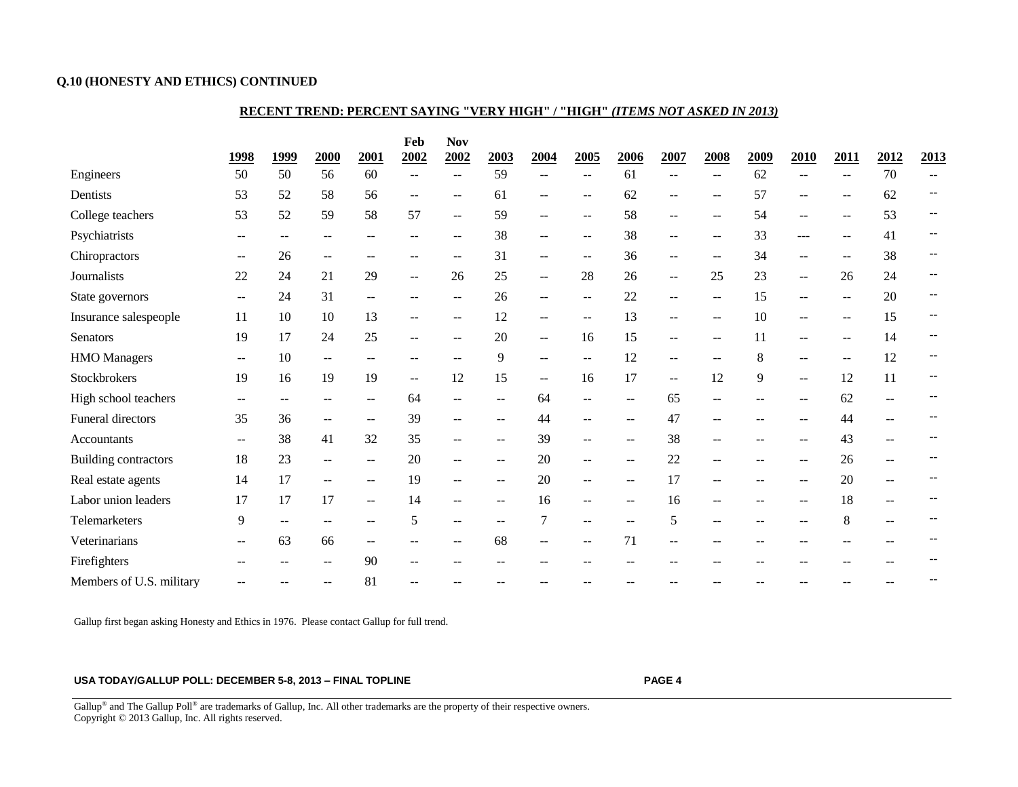### **Q.10 (HONESTY AND ETHICS) CONTINUED**

#### **RECENT TREND: PERCENT SAYING "VERY HIGH" / "HIGH"** *(ITEMS NOT ASKED IN 2013)*

|                          | 1998                     | <u>1999</u>              | 2000                     | 2001                     | Feb<br>2002    | <b>Nov</b><br>2002       | 2003                     | 2004                     | 2005                     | 2006                     | 2007                     | 2008   | 2009 | 2010                     | <b>2011</b>              | 2012                     | 2013 |
|--------------------------|--------------------------|--------------------------|--------------------------|--------------------------|----------------|--------------------------|--------------------------|--------------------------|--------------------------|--------------------------|--------------------------|--------|------|--------------------------|--------------------------|--------------------------|------|
| Engineers                | 50                       | 50                       | 56                       | 60                       |                | $-$                      | 59                       | $-$                      | $\overline{\phantom{m}}$ | 61                       | --                       |        | 62   | --                       | $\overline{\phantom{m}}$ | 70                       |      |
| Dentists                 | 53                       | 52                       | 58                       | 56                       | $-$            | $-$                      | 61                       | $\mathbf{u}$             | $--$                     | 62                       | $-$                      |        | 57   | $-$                      | $\overline{\phantom{a}}$ | 62                       |      |
| College teachers         | 53                       | 52                       | 59                       | 58                       | 57             | $\overline{\phantom{a}}$ | 59                       | $\overline{\phantom{m}}$ | $\overline{\phantom{m}}$ | 58                       | $-$                      |        | 54   | --                       | $-$                      | 53                       |      |
| Psychiatrists            | --                       | $\overline{\phantom{m}}$ | $\overline{\phantom{a}}$ | --                       |                | $\overline{\phantom{a}}$ | 38                       | $\overline{\phantom{m}}$ | $--$                     | 38                       | $-$                      | $-$    | 33   | ---                      | $\overline{\phantom{m}}$ | 41                       |      |
| Chiropractors            |                          | 26                       | $\overline{\phantom{m}}$ |                          |                |                          | 31                       | --                       | $\sim$                   | 36                       | --                       |        | 34   | --                       | $-$                      | 38                       |      |
| Journalists              | 22                       | 24                       | 21                       | 29                       | $\overline{a}$ | 26                       | 25                       | $\sim$                   | 28                       | 26                       | $\overline{\phantom{a}}$ | 25     | 23   | --                       | 26                       | 24                       |      |
| State governors          | $\overline{\phantom{m}}$ | 24                       | 31                       | $\overline{\phantom{a}}$ |                | $-$                      | 26                       | $\overline{\phantom{m}}$ | $\overline{\phantom{m}}$ | 22                       | $- -$                    |        | 15   | $\qquad \qquad -$        | $\overline{\phantom{m}}$ | 20                       |      |
| Insurance salespeople    | 11                       | 10                       | 10                       | 13                       | --             | $\overline{\phantom{a}}$ | 12                       | $\sim$                   | $--$                     | 13                       | $-$                      | $-$    | 10   | $-$                      | $--$                     | 15                       |      |
| <b>Senators</b>          | 19                       | 17                       | 24                       | 25                       | $-$            |                          | 20                       | $\sim$                   | 16                       | 15                       | $\overline{\phantom{a}}$ |        | 11   | --                       | $-$                      | 14                       |      |
| <b>HMO</b> Managers      | --                       | $10\,$                   | $\overline{\phantom{m}}$ | --                       | --             |                          | 9                        | $\overline{\phantom{m}}$ | $\overline{\phantom{m}}$ | 12                       | --                       |        | 8    | $\qquad \qquad -$        | $\overline{\phantom{m}}$ | 12                       |      |
| Stockbrokers             | 19                       | 16                       | 19                       | 19                       | $\overline{a}$ | 12                       | 15                       | $-$                      | 16                       | 17                       | $-$                      | 12     | 9    | $\overline{\phantom{a}}$ | 12                       | 11                       |      |
| High school teachers     | --                       | $-$                      | $\overline{\phantom{a}}$ | $- -$                    | 64             |                          | --                       | 64                       | $\mathbf{u}$             | --                       | 65                       |        |      | --                       | 62                       | $\overline{\phantom{a}}$ |      |
| Funeral directors        | 35                       | 36                       | $\qquad \qquad -$        | $- -$                    | 39             | $\overline{\phantom{a}}$ | --                       | 44                       | $\overline{\phantom{m}}$ | --                       | 47                       |        |      | --                       | 44                       | --                       |      |
| Accountants              | $- -$                    | 38                       | 41                       | 32                       | 35             |                          | $\overline{\phantom{a}}$ | 39                       | $\sim$                   | --                       | 38                       |        |      | --                       | 43                       |                          |      |
| Building contractors     | 18                       | 23                       | $\qquad \qquad -$        | --                       | 20             | $\overline{\phantom{a}}$ | --                       | 20                       | $\overline{\phantom{m}}$ | --                       | 22                       |        |      | --                       | 26                       | $\overline{\phantom{a}}$ |      |
| Real estate agents       | 14                       | 17                       | $\mathbf{u}$             | $\overline{\phantom{a}}$ | 19             | $\overline{\phantom{a}}$ | $\overline{\phantom{a}}$ | 20                       | $\mathbf{u}$             | $\overline{\phantom{a}}$ | 17                       | $\sim$ |      | $-$                      | 20                       | $\overline{a}$           |      |
| Labor union leaders      | 17                       | 17                       | 17                       | $\overline{\phantom{a}}$ | 14             |                          |                          | 16                       | $\overline{\phantom{m}}$ | $- -$                    | 16                       |        |      | --                       | 18                       |                          |      |
| Telemarketers            | 9                        | $\overline{a}$           |                          |                          | 5              |                          |                          | 7                        | $\overline{\phantom{m}}$ |                          | 5                        |        |      | --                       | 8                        |                          |      |
| Veterinarians            | --                       | 63                       | 66                       | $\overline{\phantom{a}}$ |                |                          | 68                       | $\sim$                   | $-$                      | 71                       | --                       |        |      |                          |                          |                          |      |
| Firefighters             | --                       | $\overline{\phantom{m}}$ | $\overline{\phantom{m}}$ | 90                       | --             |                          |                          | --                       |                          |                          |                          |        |      |                          |                          |                          |      |
| Members of U.S. military |                          |                          |                          | 81                       |                |                          |                          |                          |                          |                          |                          |        |      |                          |                          |                          |      |

Gallup first began asking Honesty and Ethics in 1976. Please contact Gallup for full trend.

#### **USA TODAY/GALLUP POLL: DECEMBER 5-8, 2013 – FINAL TOPLINE PAGE 4**

Gallup<sup>®</sup> and The Gallup Poll<sup>®</sup> are trademarks of Gallup, Inc. All other trademarks are the property of their respective owners. Copyright © 2013 Gallup, Inc. All rights reserved.